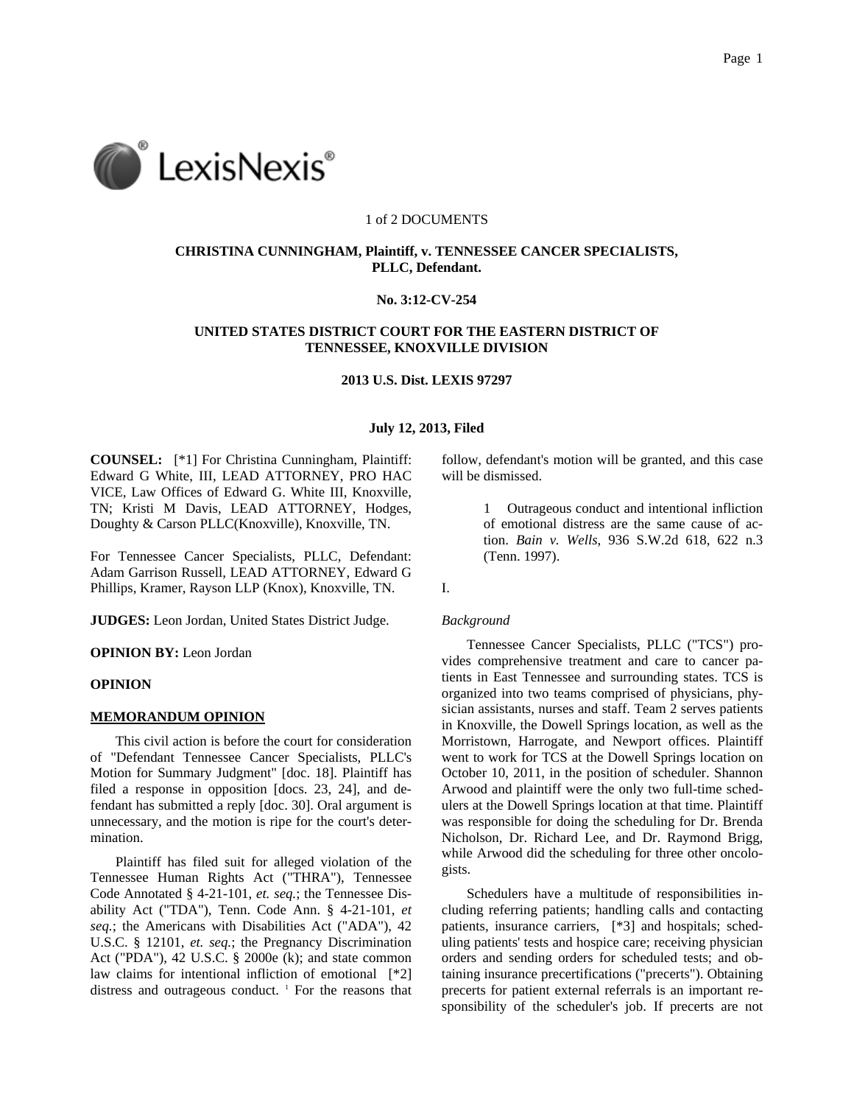

#### 1 of 2 DOCUMENTS

# **CHRISTINA CUNNINGHAM, Plaintiff, v. TENNESSEE CANCER SPECIALISTS, PLLC, Defendant.**

# **No. 3:12-CV-254**

# **UNITED STATES DISTRICT COURT FOR THE EASTERN DISTRICT OF TENNESSEE, KNOXVILLE DIVISION**

### **2013 U.S. Dist. LEXIS 97297**

## **July 12, 2013, Filed**

**COUNSEL:** [\*1] For Christina Cunningham, Plaintiff: Edward G White, III, LEAD ATTORNEY, PRO HAC VICE, Law Offices of Edward G. White III, Knoxville, TN; Kristi M Davis, LEAD ATTORNEY, Hodges, Doughty & Carson PLLC(Knoxville), Knoxville, TN.

For Tennessee Cancer Specialists, PLLC, Defendant: Adam Garrison Russell, LEAD ATTORNEY, Edward G Phillips, Kramer, Rayson LLP (Knox), Knoxville, TN.

**JUDGES:** Leon Jordan, United States District Judge.

**OPINION BY:** Leon Jordan

### **OPINION**

### **MEMORANDUM OPINION**

This civil action is before the court for consideration of "Defendant Tennessee Cancer Specialists, PLLC's Motion for Summary Judgment" [doc. 18]. Plaintiff has filed a response in opposition [docs. 23, 24], and defendant has submitted a reply [doc. 30]. Oral argument is unnecessary, and the motion is ripe for the court's determination.

Plaintiff has filed suit for alleged violation of the Tennessee Human Rights Act ("THRA"), Tennessee Code Annotated § 4-21-101, *et. seq.*; the Tennessee Disability Act ("TDA"), Tenn. Code Ann. § 4-21-101, *et seq.*; the Americans with Disabilities Act ("ADA"), 42 U.S.C. § 12101, *et. seq.*; the Pregnancy Discrimination Act ("PDA"), 42 U.S.C. § 2000e (k); and state common law claims for intentional infliction of emotional [\*2] distress and outrageous conduct.<sup>1</sup> For the reasons that follow, defendant's motion will be granted, and this case will be dismissed.

> 1 Outrageous conduct and intentional infliction of emotional distress are the same cause of action. *Bain v. Wells*, 936 S.W.2d 618, 622 n.3 (Tenn. 1997).

I.

#### *Background*

Tennessee Cancer Specialists, PLLC ("TCS") provides comprehensive treatment and care to cancer patients in East Tennessee and surrounding states. TCS is organized into two teams comprised of physicians, physician assistants, nurses and staff. Team 2 serves patients in Knoxville, the Dowell Springs location, as well as the Morristown, Harrogate, and Newport offices. Plaintiff went to work for TCS at the Dowell Springs location on October 10, 2011, in the position of scheduler. Shannon Arwood and plaintiff were the only two full-time schedulers at the Dowell Springs location at that time. Plaintiff was responsible for doing the scheduling for Dr. Brenda Nicholson, Dr. Richard Lee, and Dr. Raymond Brigg, while Arwood did the scheduling for three other oncologists.

Schedulers have a multitude of responsibilities including referring patients; handling calls and contacting patients, insurance carriers, [\*3] and hospitals; scheduling patients' tests and hospice care; receiving physician orders and sending orders for scheduled tests; and obtaining insurance precertifications ("precerts"). Obtaining precerts for patient external referrals is an important responsibility of the scheduler's job. If precerts are not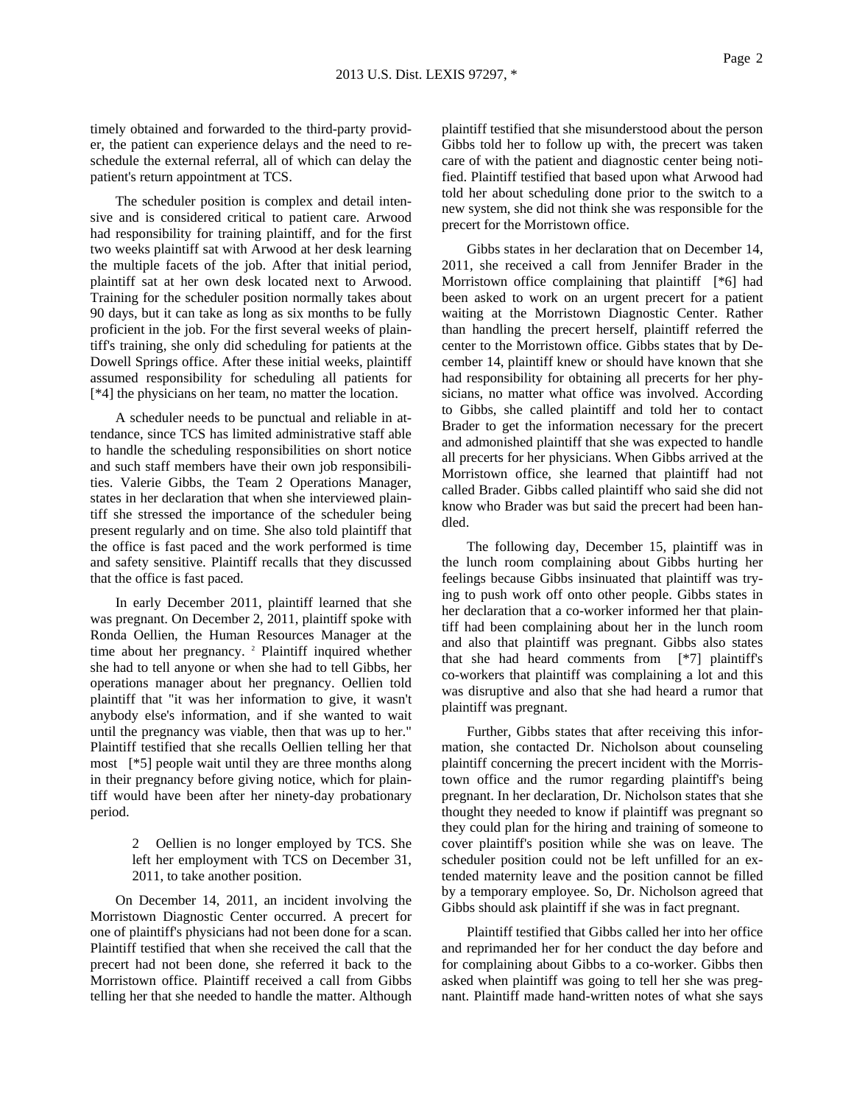timely obtained and forwarded to the third-party provider, the patient can experience delays and the need to reschedule the external referral, all of which can delay the patient's return appointment at TCS.

The scheduler position is complex and detail intensive and is considered critical to patient care. Arwood had responsibility for training plaintiff, and for the first two weeks plaintiff sat with Arwood at her desk learning the multiple facets of the job. After that initial period, plaintiff sat at her own desk located next to Arwood. Training for the scheduler position normally takes about 90 days, but it can take as long as six months to be fully proficient in the job. For the first several weeks of plaintiff's training, she only did scheduling for patients at the Dowell Springs office. After these initial weeks, plaintiff assumed responsibility for scheduling all patients for [\*4] the physicians on her team, no matter the location.

A scheduler needs to be punctual and reliable in attendance, since TCS has limited administrative staff able to handle the scheduling responsibilities on short notice and such staff members have their own job responsibilities. Valerie Gibbs, the Team 2 Operations Manager, states in her declaration that when she interviewed plaintiff she stressed the importance of the scheduler being present regularly and on time. She also told plaintiff that the office is fast paced and the work performed is time and safety sensitive. Plaintiff recalls that they discussed that the office is fast paced.

In early December 2011, plaintiff learned that she was pregnant. On December 2, 2011, plaintiff spoke with Ronda Oellien, the Human Resources Manager at the time about her pregnancy. <sup>2</sup> Plaintiff inquired whether she had to tell anyone or when she had to tell Gibbs, her operations manager about her pregnancy. Oellien told plaintiff that "it was her information to give, it wasn't anybody else's information, and if she wanted to wait until the pregnancy was viable, then that was up to her." Plaintiff testified that she recalls Oellien telling her that most [\*5] people wait until they are three months along in their pregnancy before giving notice, which for plaintiff would have been after her ninety-day probationary period.

> 2 Oellien is no longer employed by TCS. She left her employment with TCS on December 31, 2011, to take another position.

On December 14, 2011, an incident involving the Morristown Diagnostic Center occurred. A precert for one of plaintiff's physicians had not been done for a scan. Plaintiff testified that when she received the call that the precert had not been done, she referred it back to the Morristown office. Plaintiff received a call from Gibbs telling her that she needed to handle the matter. Although plaintiff testified that she misunderstood about the person Gibbs told her to follow up with, the precert was taken care of with the patient and diagnostic center being notified. Plaintiff testified that based upon what Arwood had told her about scheduling done prior to the switch to a new system, she did not think she was responsible for the precert for the Morristown office.

Gibbs states in her declaration that on December 14, 2011, she received a call from Jennifer Brader in the Morristown office complaining that plaintiff [\*6] had been asked to work on an urgent precert for a patient waiting at the Morristown Diagnostic Center. Rather than handling the precert herself, plaintiff referred the center to the Morristown office. Gibbs states that by December 14, plaintiff knew or should have known that she had responsibility for obtaining all precerts for her physicians, no matter what office was involved. According to Gibbs, she called plaintiff and told her to contact Brader to get the information necessary for the precert and admonished plaintiff that she was expected to handle all precerts for her physicians. When Gibbs arrived at the Morristown office, she learned that plaintiff had not called Brader. Gibbs called plaintiff who said she did not know who Brader was but said the precert had been handled.

The following day, December 15, plaintiff was in the lunch room complaining about Gibbs hurting her feelings because Gibbs insinuated that plaintiff was trying to push work off onto other people. Gibbs states in her declaration that a co-worker informed her that plaintiff had been complaining about her in the lunch room and also that plaintiff was pregnant. Gibbs also states that she had heard comments from [\*7] plaintiff's co-workers that plaintiff was complaining a lot and this was disruptive and also that she had heard a rumor that plaintiff was pregnant.

Further, Gibbs states that after receiving this information, she contacted Dr. Nicholson about counseling plaintiff concerning the precert incident with the Morristown office and the rumor regarding plaintiff's being pregnant. In her declaration, Dr. Nicholson states that she thought they needed to know if plaintiff was pregnant so they could plan for the hiring and training of someone to cover plaintiff's position while she was on leave. The scheduler position could not be left unfilled for an extended maternity leave and the position cannot be filled by a temporary employee. So, Dr. Nicholson agreed that Gibbs should ask plaintiff if she was in fact pregnant.

Plaintiff testified that Gibbs called her into her office and reprimanded her for her conduct the day before and for complaining about Gibbs to a co-worker. Gibbs then asked when plaintiff was going to tell her she was pregnant. Plaintiff made hand-written notes of what she says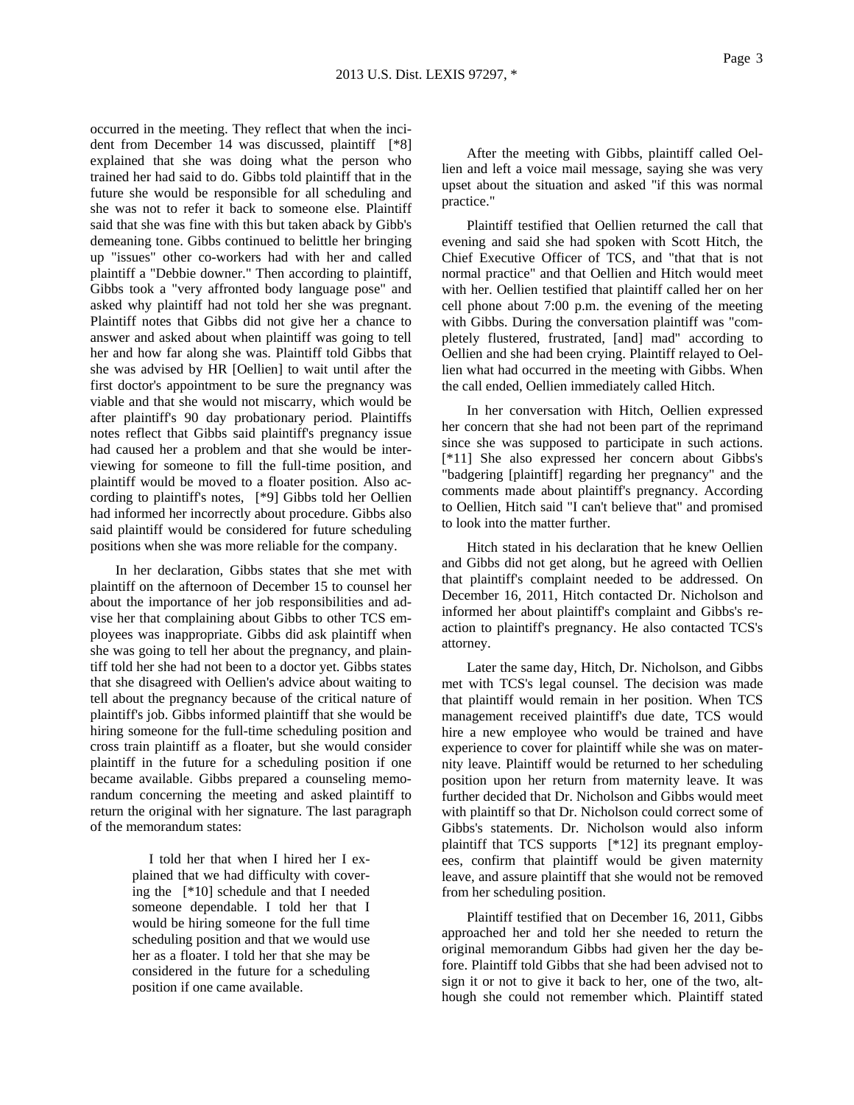occurred in the meeting. They reflect that when the incident from December 14 was discussed, plaintiff [\*8] explained that she was doing what the person who trained her had said to do. Gibbs told plaintiff that in the future she would be responsible for all scheduling and she was not to refer it back to someone else. Plaintiff said that she was fine with this but taken aback by Gibb's demeaning tone. Gibbs continued to belittle her bringing up "issues" other co-workers had with her and called plaintiff a "Debbie downer." Then according to plaintiff, Gibbs took a "very affronted body language pose" and asked why plaintiff had not told her she was pregnant. Plaintiff notes that Gibbs did not give her a chance to answer and asked about when plaintiff was going to tell her and how far along she was. Plaintiff told Gibbs that she was advised by HR [Oellien] to wait until after the first doctor's appointment to be sure the pregnancy was viable and that she would not miscarry, which would be after plaintiff's 90 day probationary period. Plaintiffs notes reflect that Gibbs said plaintiff's pregnancy issue had caused her a problem and that she would be interviewing for someone to fill the full-time position, and plaintiff would be moved to a floater position. Also according to plaintiff's notes, [\*9] Gibbs told her Oellien had informed her incorrectly about procedure. Gibbs also said plaintiff would be considered for future scheduling positions when she was more reliable for the company.

In her declaration, Gibbs states that she met with plaintiff on the afternoon of December 15 to counsel her about the importance of her job responsibilities and advise her that complaining about Gibbs to other TCS employees was inappropriate. Gibbs did ask plaintiff when she was going to tell her about the pregnancy, and plaintiff told her she had not been to a doctor yet. Gibbs states that she disagreed with Oellien's advice about waiting to tell about the pregnancy because of the critical nature of plaintiff's job. Gibbs informed plaintiff that she would be hiring someone for the full-time scheduling position and cross train plaintiff as a floater, but she would consider plaintiff in the future for a scheduling position if one became available. Gibbs prepared a counseling memorandum concerning the meeting and asked plaintiff to return the original with her signature. The last paragraph of the memorandum states:

> I told her that when I hired her I explained that we had difficulty with covering the [\*10] schedule and that I needed someone dependable. I told her that I would be hiring someone for the full time scheduling position and that we would use her as a floater. I told her that she may be considered in the future for a scheduling position if one came available.

After the meeting with Gibbs, plaintiff called Oellien and left a voice mail message, saying she was very upset about the situation and asked "if this was normal practice."

Plaintiff testified that Oellien returned the call that evening and said she had spoken with Scott Hitch, the Chief Executive Officer of TCS, and "that that is not normal practice" and that Oellien and Hitch would meet with her. Oellien testified that plaintiff called her on her cell phone about 7:00 p.m. the evening of the meeting with Gibbs. During the conversation plaintiff was "completely flustered, frustrated, [and] mad" according to Oellien and she had been crying. Plaintiff relayed to Oellien what had occurred in the meeting with Gibbs. When the call ended, Oellien immediately called Hitch.

In her conversation with Hitch, Oellien expressed her concern that she had not been part of the reprimand since she was supposed to participate in such actions. [\*11] She also expressed her concern about Gibbs's "badgering [plaintiff] regarding her pregnancy" and the comments made about plaintiff's pregnancy. According to Oellien, Hitch said "I can't believe that" and promised to look into the matter further.

Hitch stated in his declaration that he knew Oellien and Gibbs did not get along, but he agreed with Oellien that plaintiff's complaint needed to be addressed. On December 16, 2011, Hitch contacted Dr. Nicholson and informed her about plaintiff's complaint and Gibbs's reaction to plaintiff's pregnancy. He also contacted TCS's attorney.

Later the same day, Hitch, Dr. Nicholson, and Gibbs met with TCS's legal counsel. The decision was made that plaintiff would remain in her position. When TCS management received plaintiff's due date, TCS would hire a new employee who would be trained and have experience to cover for plaintiff while she was on maternity leave. Plaintiff would be returned to her scheduling position upon her return from maternity leave. It was further decided that Dr. Nicholson and Gibbs would meet with plaintiff so that Dr. Nicholson could correct some of Gibbs's statements. Dr. Nicholson would also inform plaintiff that TCS supports [\*12] its pregnant employees, confirm that plaintiff would be given maternity leave, and assure plaintiff that she would not be removed from her scheduling position.

Plaintiff testified that on December 16, 2011, Gibbs approached her and told her she needed to return the original memorandum Gibbs had given her the day before. Plaintiff told Gibbs that she had been advised not to sign it or not to give it back to her, one of the two, although she could not remember which. Plaintiff stated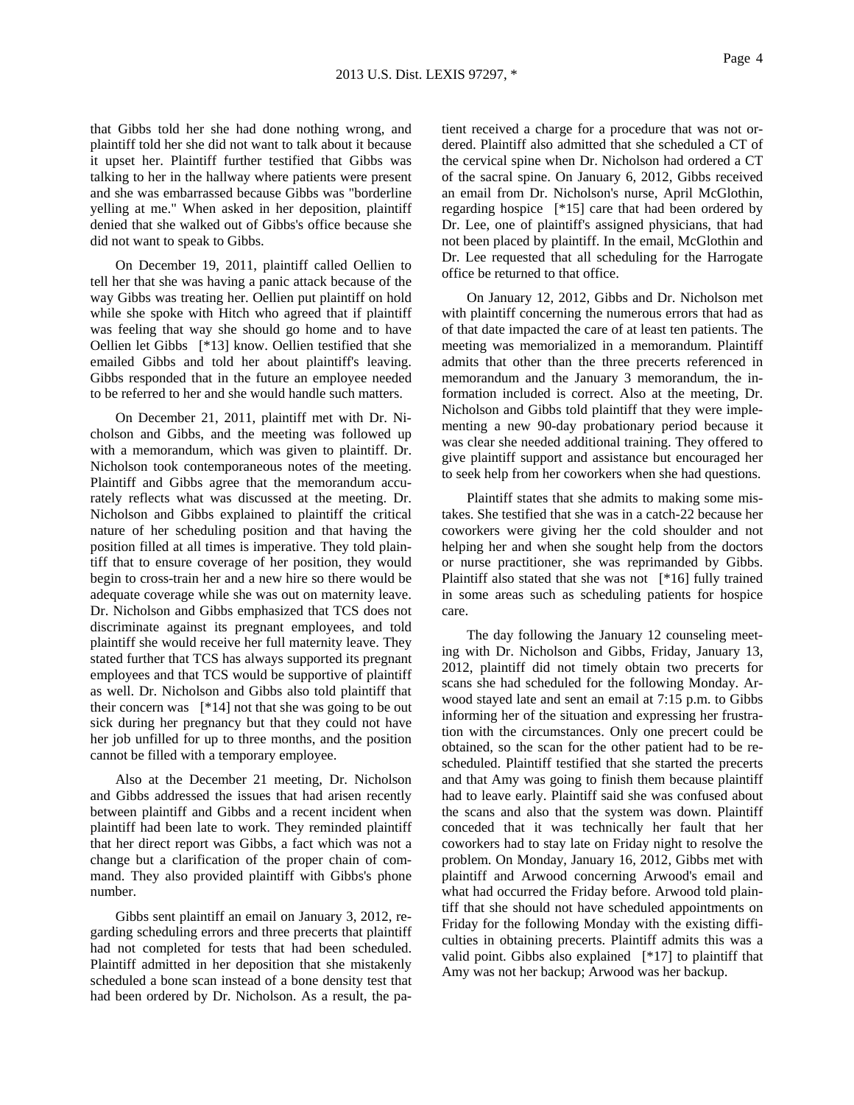that Gibbs told her she had done nothing wrong, and plaintiff told her she did not want to talk about it because it upset her. Plaintiff further testified that Gibbs was talking to her in the hallway where patients were present and she was embarrassed because Gibbs was "borderline yelling at me." When asked in her deposition, plaintiff denied that she walked out of Gibbs's office because she did not want to speak to Gibbs.

On December 19, 2011, plaintiff called Oellien to tell her that she was having a panic attack because of the way Gibbs was treating her. Oellien put plaintiff on hold while she spoke with Hitch who agreed that if plaintiff was feeling that way she should go home and to have Oellien let Gibbs [\*13] know. Oellien testified that she emailed Gibbs and told her about plaintiff's leaving. Gibbs responded that in the future an employee needed to be referred to her and she would handle such matters.

On December 21, 2011, plaintiff met with Dr. Nicholson and Gibbs, and the meeting was followed up with a memorandum, which was given to plaintiff. Dr. Nicholson took contemporaneous notes of the meeting. Plaintiff and Gibbs agree that the memorandum accurately reflects what was discussed at the meeting. Dr. Nicholson and Gibbs explained to plaintiff the critical nature of her scheduling position and that having the position filled at all times is imperative. They told plaintiff that to ensure coverage of her position, they would begin to cross-train her and a new hire so there would be adequate coverage while she was out on maternity leave. Dr. Nicholson and Gibbs emphasized that TCS does not discriminate against its pregnant employees, and told plaintiff she would receive her full maternity leave. They stated further that TCS has always supported its pregnant employees and that TCS would be supportive of plaintiff as well. Dr. Nicholson and Gibbs also told plaintiff that their concern was [\*14] not that she was going to be out sick during her pregnancy but that they could not have her job unfilled for up to three months, and the position cannot be filled with a temporary employee.

Also at the December 21 meeting, Dr. Nicholson and Gibbs addressed the issues that had arisen recently between plaintiff and Gibbs and a recent incident when plaintiff had been late to work. They reminded plaintiff that her direct report was Gibbs, a fact which was not a change but a clarification of the proper chain of command. They also provided plaintiff with Gibbs's phone number.

Gibbs sent plaintiff an email on January 3, 2012, regarding scheduling errors and three precerts that plaintiff had not completed for tests that had been scheduled. Plaintiff admitted in her deposition that she mistakenly scheduled a bone scan instead of a bone density test that had been ordered by Dr. Nicholson. As a result, the patient received a charge for a procedure that was not ordered. Plaintiff also admitted that she scheduled a CT of the cervical spine when Dr. Nicholson had ordered a CT of the sacral spine. On January 6, 2012, Gibbs received an email from Dr. Nicholson's nurse, April McGlothin, regarding hospice [\*15] care that had been ordered by Dr. Lee, one of plaintiff's assigned physicians, that had not been placed by plaintiff. In the email, McGlothin and Dr. Lee requested that all scheduling for the Harrogate office be returned to that office.

On January 12, 2012, Gibbs and Dr. Nicholson met with plaintiff concerning the numerous errors that had as of that date impacted the care of at least ten patients. The meeting was memorialized in a memorandum. Plaintiff admits that other than the three precerts referenced in memorandum and the January 3 memorandum, the information included is correct. Also at the meeting, Dr. Nicholson and Gibbs told plaintiff that they were implementing a new 90-day probationary period because it was clear she needed additional training. They offered to give plaintiff support and assistance but encouraged her to seek help from her coworkers when she had questions.

Plaintiff states that she admits to making some mistakes. She testified that she was in a catch-22 because her coworkers were giving her the cold shoulder and not helping her and when she sought help from the doctors or nurse practitioner, she was reprimanded by Gibbs. Plaintiff also stated that she was not [\*16] fully trained in some areas such as scheduling patients for hospice care.

The day following the January 12 counseling meeting with Dr. Nicholson and Gibbs, Friday, January 13, 2012, plaintiff did not timely obtain two precerts for scans she had scheduled for the following Monday. Arwood stayed late and sent an email at 7:15 p.m. to Gibbs informing her of the situation and expressing her frustration with the circumstances. Only one precert could be obtained, so the scan for the other patient had to be rescheduled. Plaintiff testified that she started the precerts and that Amy was going to finish them because plaintiff had to leave early. Plaintiff said she was confused about the scans and also that the system was down. Plaintiff conceded that it was technically her fault that her coworkers had to stay late on Friday night to resolve the problem. On Monday, January 16, 2012, Gibbs met with plaintiff and Arwood concerning Arwood's email and what had occurred the Friday before. Arwood told plaintiff that she should not have scheduled appointments on Friday for the following Monday with the existing difficulties in obtaining precerts. Plaintiff admits this was a valid point. Gibbs also explained [\*17] to plaintiff that Amy was not her backup; Arwood was her backup.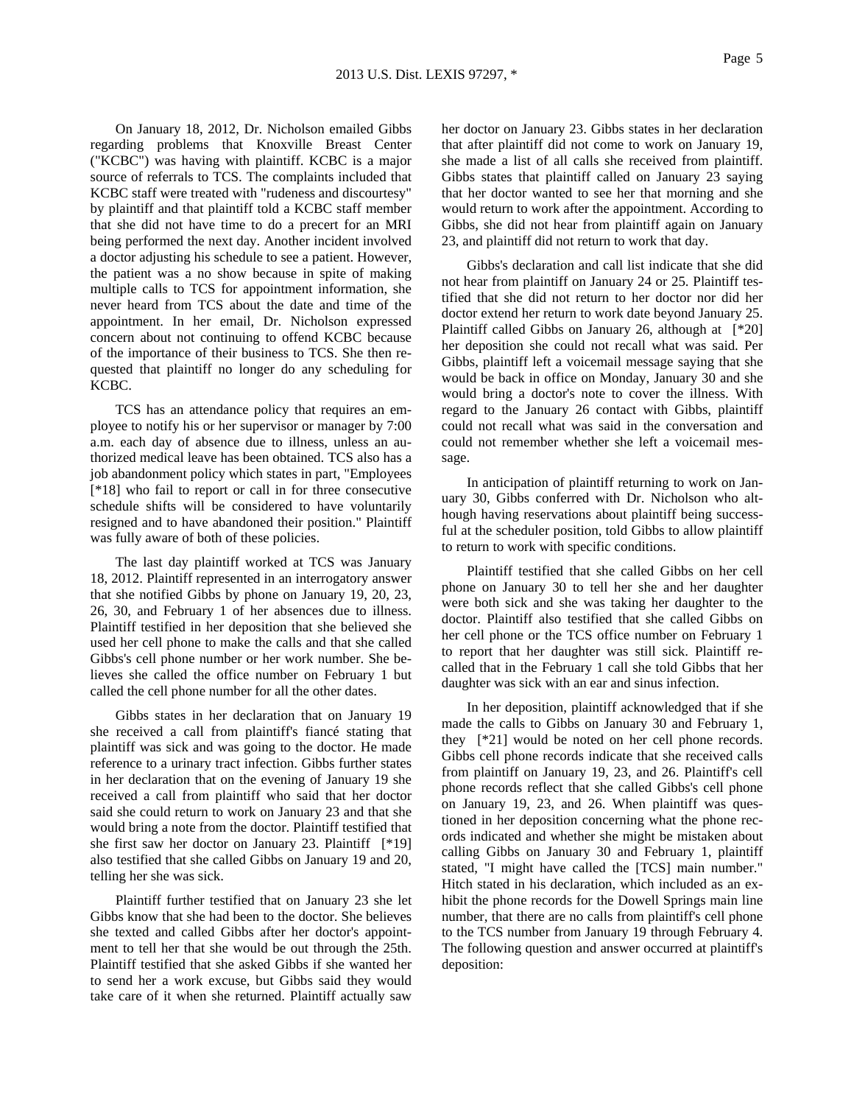On January 18, 2012, Dr. Nicholson emailed Gibbs regarding problems that Knoxville Breast Center ("KCBC") was having with plaintiff. KCBC is a major source of referrals to TCS. The complaints included that KCBC staff were treated with "rudeness and discourtesy" by plaintiff and that plaintiff told a KCBC staff member that she did not have time to do a precert for an MRI being performed the next day. Another incident involved a doctor adjusting his schedule to see a patient. However, the patient was a no show because in spite of making multiple calls to TCS for appointment information, she never heard from TCS about the date and time of the appointment. In her email, Dr. Nicholson expressed concern about not continuing to offend KCBC because of the importance of their business to TCS. She then requested that plaintiff no longer do any scheduling for KCBC.

TCS has an attendance policy that requires an employee to notify his or her supervisor or manager by 7:00 a.m. each day of absence due to illness, unless an authorized medical leave has been obtained. TCS also has a job abandonment policy which states in part, "Employees [\*18] who fail to report or call in for three consecutive schedule shifts will be considered to have voluntarily resigned and to have abandoned their position." Plaintiff was fully aware of both of these policies.

The last day plaintiff worked at TCS was January 18, 2012. Plaintiff represented in an interrogatory answer that she notified Gibbs by phone on January 19, 20, 23, 26, 30, and February 1 of her absences due to illness. Plaintiff testified in her deposition that she believed she used her cell phone to make the calls and that she called Gibbs's cell phone number or her work number. She believes she called the office number on February 1 but called the cell phone number for all the other dates.

Gibbs states in her declaration that on January 19 she received a call from plaintiff's fiancé stating that plaintiff was sick and was going to the doctor. He made reference to a urinary tract infection. Gibbs further states in her declaration that on the evening of January 19 she received a call from plaintiff who said that her doctor said she could return to work on January 23 and that she would bring a note from the doctor. Plaintiff testified that she first saw her doctor on January 23. Plaintiff [\*19] also testified that she called Gibbs on January 19 and 20, telling her she was sick.

Plaintiff further testified that on January 23 she let Gibbs know that she had been to the doctor. She believes she texted and called Gibbs after her doctor's appointment to tell her that she would be out through the 25th. Plaintiff testified that she asked Gibbs if she wanted her to send her a work excuse, but Gibbs said they would take care of it when she returned. Plaintiff actually saw

her doctor on January 23. Gibbs states in her declaration that after plaintiff did not come to work on January 19, she made a list of all calls she received from plaintiff. Gibbs states that plaintiff called on January 23 saying that her doctor wanted to see her that morning and she would return to work after the appointment. According to Gibbs, she did not hear from plaintiff again on January 23, and plaintiff did not return to work that day.

Gibbs's declaration and call list indicate that she did not hear from plaintiff on January 24 or 25. Plaintiff testified that she did not return to her doctor nor did her doctor extend her return to work date beyond January 25. Plaintiff called Gibbs on January 26, although at [\*20] her deposition she could not recall what was said. Per Gibbs, plaintiff left a voicemail message saying that she would be back in office on Monday, January 30 and she would bring a doctor's note to cover the illness. With regard to the January 26 contact with Gibbs, plaintiff could not recall what was said in the conversation and could not remember whether she left a voicemail message.

In anticipation of plaintiff returning to work on January 30, Gibbs conferred with Dr. Nicholson who although having reservations about plaintiff being successful at the scheduler position, told Gibbs to allow plaintiff to return to work with specific conditions.

Plaintiff testified that she called Gibbs on her cell phone on January 30 to tell her she and her daughter were both sick and she was taking her daughter to the doctor. Plaintiff also testified that she called Gibbs on her cell phone or the TCS office number on February 1 to report that her daughter was still sick. Plaintiff recalled that in the February 1 call she told Gibbs that her daughter was sick with an ear and sinus infection.

In her deposition, plaintiff acknowledged that if she made the calls to Gibbs on January 30 and February 1, they [\*21] would be noted on her cell phone records. Gibbs cell phone records indicate that she received calls from plaintiff on January 19, 23, and 26. Plaintiff's cell phone records reflect that she called Gibbs's cell phone on January 19, 23, and 26. When plaintiff was questioned in her deposition concerning what the phone records indicated and whether she might be mistaken about calling Gibbs on January 30 and February 1, plaintiff stated, "I might have called the [TCS] main number." Hitch stated in his declaration, which included as an exhibit the phone records for the Dowell Springs main line number, that there are no calls from plaintiff's cell phone to the TCS number from January 19 through February 4. The following question and answer occurred at plaintiff's deposition: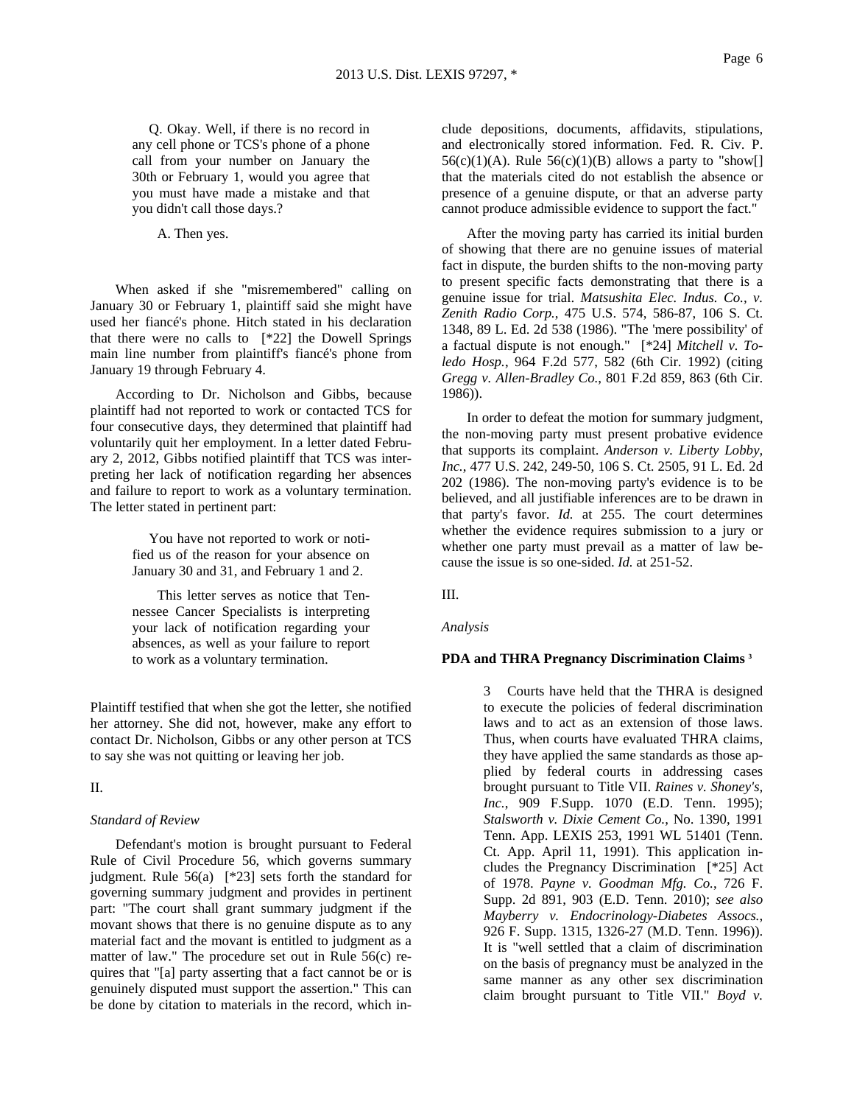Q. Okay. Well, if there is no record in any cell phone or TCS's phone of a phone call from your number on January the 30th or February 1, would you agree that you must have made a mistake and that you didn't call those days.?

A. Then yes.

When asked if she "misremembered" calling on January 30 or February 1, plaintiff said she might have used her fiancé's phone. Hitch stated in his declaration that there were no calls to [\*22] the Dowell Springs main line number from plaintiff's fiancé's phone from January 19 through February 4.

According to Dr. Nicholson and Gibbs, because plaintiff had not reported to work or contacted TCS for four consecutive days, they determined that plaintiff had voluntarily quit her employment. In a letter dated February 2, 2012, Gibbs notified plaintiff that TCS was interpreting her lack of notification regarding her absences and failure to report to work as a voluntary termination. The letter stated in pertinent part:

> You have not reported to work or notified us of the reason for your absence on January 30 and 31, and February 1 and 2.

> This letter serves as notice that Tennessee Cancer Specialists is interpreting your lack of notification regarding your absences, as well as your failure to report to work as a voluntary termination.

Plaintiff testified that when she got the letter, she notified her attorney. She did not, however, make any effort to contact Dr. Nicholson, Gibbs or any other person at TCS to say she was not quitting or leaving her job.

II.

### *Standard of Review*

Defendant's motion is brought pursuant to Federal Rule of Civil Procedure 56, which governs summary judgment. Rule 56(a) [\*23] sets forth the standard for governing summary judgment and provides in pertinent part: "The court shall grant summary judgment if the movant shows that there is no genuine dispute as to any material fact and the movant is entitled to judgment as a matter of law." The procedure set out in Rule 56(c) requires that "[a] party asserting that a fact cannot be or is genuinely disputed must support the assertion." This can be done by citation to materials in the record, which include depositions, documents, affidavits, stipulations, and electronically stored information. Fed. R. Civ. P.  $56(c)(1)(A)$ . Rule  $56(c)(1)(B)$  allows a party to "show[] that the materials cited do not establish the absence or presence of a genuine dispute, or that an adverse party cannot produce admissible evidence to support the fact."

After the moving party has carried its initial burden of showing that there are no genuine issues of material fact in dispute, the burden shifts to the non-moving party to present specific facts demonstrating that there is a genuine issue for trial. *Matsushita Elec. Indus. Co., v. Zenith Radio Corp.*, 475 U.S. 574, 586-87, 106 S. Ct. 1348, 89 L. Ed. 2d 538 (1986). "The 'mere possibility' of a factual dispute is not enough." [\*24] *Mitchell v. Toledo Hosp.*, 964 F.2d 577, 582 (6th Cir. 1992) (citing *Gregg v. Allen-Bradley Co.*, 801 F.2d 859, 863 (6th Cir. 1986)).

In order to defeat the motion for summary judgment, the non-moving party must present probative evidence that supports its complaint. *Anderson v. Liberty Lobby, Inc.*, 477 U.S. 242, 249-50, 106 S. Ct. 2505, 91 L. Ed. 2d 202 (1986). The non-moving party's evidence is to be believed, and all justifiable inferences are to be drawn in that party's favor. *Id.* at 255. The court determines whether the evidence requires submission to a jury or whether one party must prevail as a matter of law because the issue is so one-sided. *Id.* at 251-52.

III.

*Analysis*

### **PDA and THRA Pregnancy Discrimination Claims 3**

3 Courts have held that the THRA is designed to execute the policies of federal discrimination laws and to act as an extension of those laws. Thus, when courts have evaluated THRA claims, they have applied the same standards as those applied by federal courts in addressing cases brought pursuant to Title VII. *Raines v. Shoney's, Inc.*, 909 F.Supp. 1070 (E.D. Tenn. 1995); *Stalsworth v. Dixie Cement Co.*, No. 1390, 1991 Tenn. App. LEXIS 253, 1991 WL 51401 (Tenn. Ct. App. April 11, 1991). This application includes the Pregnancy Discrimination [\*25] Act of 1978. *Payne v. Goodman Mfg. Co.*, 726 F. Supp. 2d 891, 903 (E.D. Tenn. 2010); *see also Mayberry v. Endocrinology-Diabetes Assocs.*, 926 F. Supp. 1315, 1326-27 (M.D. Tenn. 1996)). It is "well settled that a claim of discrimination on the basis of pregnancy must be analyzed in the same manner as any other sex discrimination claim brought pursuant to Title VII." *Boyd v.*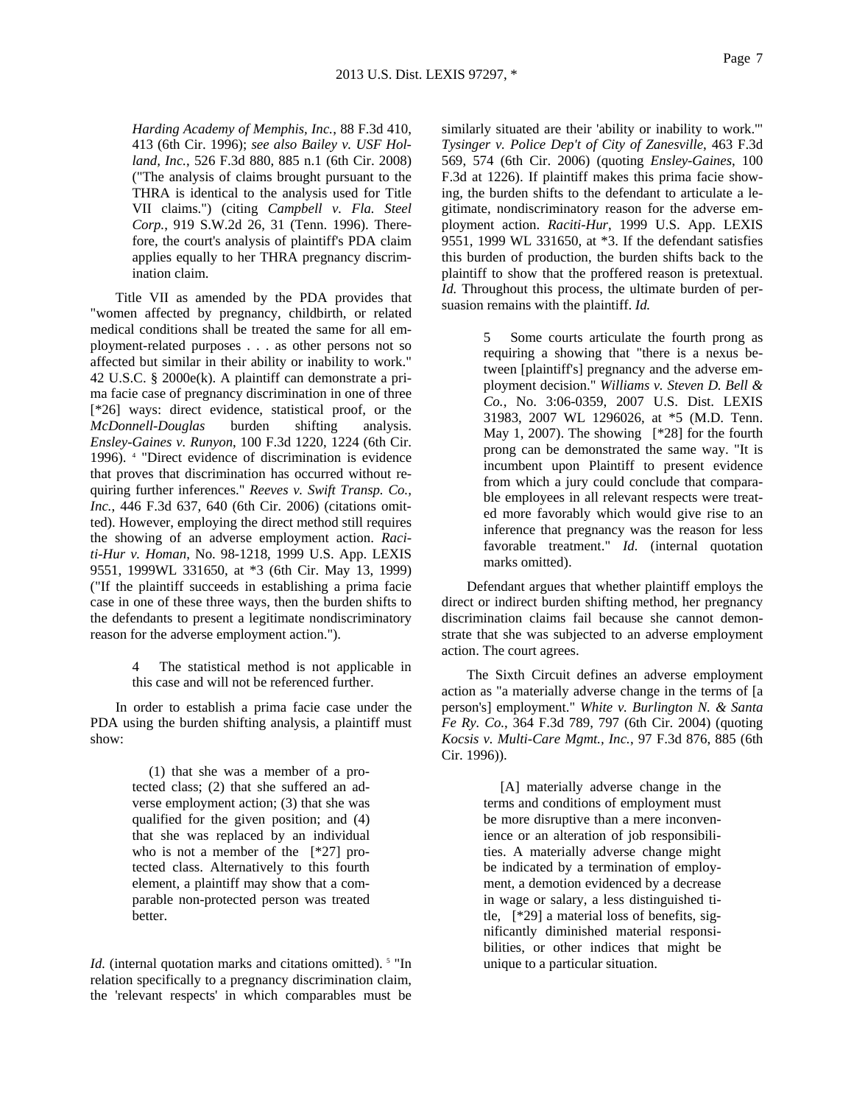*Harding Academy of Memphis, Inc.*, 88 F.3d 410, 413 (6th Cir. 1996); *see also Bailey v. USF Holland, Inc.*, 526 F.3d 880, 885 n.1 (6th Cir. 2008) ("The analysis of claims brought pursuant to the THRA is identical to the analysis used for Title VII claims.") (citing *Campbell v. Fla. Steel Corp.*, 919 S.W.2d 26, 31 (Tenn. 1996). Therefore, the court's analysis of plaintiff's PDA claim applies equally to her THRA pregnancy discrimination claim.

Title VII as amended by the PDA provides that "women affected by pregnancy, childbirth, or related medical conditions shall be treated the same for all employment-related purposes . . . as other persons not so affected but similar in their ability or inability to work." 42 U.S.C. § 2000e(k). A plaintiff can demonstrate a prima facie case of pregnancy discrimination in one of three [\*26] ways: direct evidence, statistical proof, or the *McDonnell-Douglas* burden shifting analysis. *Ensley-Gaines v. Runyon*, 100 F.3d 1220, 1224 (6th Cir. 1996). 4 "Direct evidence of discrimination is evidence that proves that discrimination has occurred without requiring further inferences." *Reeves v. Swift Transp. Co., Inc.*, 446 F.3d 637, 640 (6th Cir. 2006) (citations omitted). However, employing the direct method still requires the showing of an adverse employment action. *Raciti-Hur v. Homan*, No. 98-1218, 1999 U.S. App. LEXIS 9551, 1999WL 331650, at \*3 (6th Cir. May 13, 1999) ("If the plaintiff succeeds in establishing a prima facie case in one of these three ways, then the burden shifts to the defendants to present a legitimate nondiscriminatory reason for the adverse employment action.").

> The statistical method is not applicable in this case and will not be referenced further.

In order to establish a prima facie case under the PDA using the burden shifting analysis, a plaintiff must show:

> (1) that she was a member of a protected class; (2) that she suffered an adverse employment action; (3) that she was qualified for the given position; and (4) that she was replaced by an individual who is not a member of the [\*27] protected class. Alternatively to this fourth element, a plaintiff may show that a comparable non-protected person was treated better.

*Id.* (internal quotation marks and citations omitted).<sup>5</sup> "In relation specifically to a pregnancy discrimination claim, the 'relevant respects' in which comparables must be

similarly situated are their 'ability or inability to work.'" *Tysinger v. Police Dep't of City of Zanesville*, 463 F.3d 569, 574 (6th Cir. 2006) (quoting *Ensley-Gaines*, 100 F.3d at 1226). If plaintiff makes this prima facie showing, the burden shifts to the defendant to articulate a legitimate, nondiscriminatory reason for the adverse employment action. *Raciti-Hur*, 1999 U.S. App. LEXIS 9551, 1999 WL 331650, at \*3. If the defendant satisfies this burden of production, the burden shifts back to the plaintiff to show that the proffered reason is pretextual. *Id.* Throughout this process, the ultimate burden of persuasion remains with the plaintiff. *Id.*

> 5 Some courts articulate the fourth prong as requiring a showing that "there is a nexus between [plaintiff's] pregnancy and the adverse employment decision." *Williams v. Steven D. Bell & Co.*, No. 3:06-0359, 2007 U.S. Dist. LEXIS 31983, 2007 WL 1296026, at \*5 (M.D. Tenn. May 1, 2007). The showing  $[*28]$  for the fourth prong can be demonstrated the same way. "It is incumbent upon Plaintiff to present evidence from which a jury could conclude that comparable employees in all relevant respects were treated more favorably which would give rise to an inference that pregnancy was the reason for less favorable treatment." *Id.* (internal quotation marks omitted).

Defendant argues that whether plaintiff employs the direct or indirect burden shifting method, her pregnancy discrimination claims fail because she cannot demonstrate that she was subjected to an adverse employment action. The court agrees.

The Sixth Circuit defines an adverse employment action as "a materially adverse change in the terms of [a person's] employment." *White v. Burlington N. & Santa Fe Ry. Co.*, 364 F.3d 789, 797 (6th Cir. 2004) (quoting *Kocsis v. Multi-Care Mgmt., Inc.*, 97 F.3d 876, 885 (6th Cir. 1996)).

> [A] materially adverse change in the terms and conditions of employment must be more disruptive than a mere inconvenience or an alteration of job responsibilities. A materially adverse change might be indicated by a termination of employment, a demotion evidenced by a decrease in wage or salary, a less distinguished title, [\*29] a material loss of benefits, significantly diminished material responsibilities, or other indices that might be unique to a particular situation.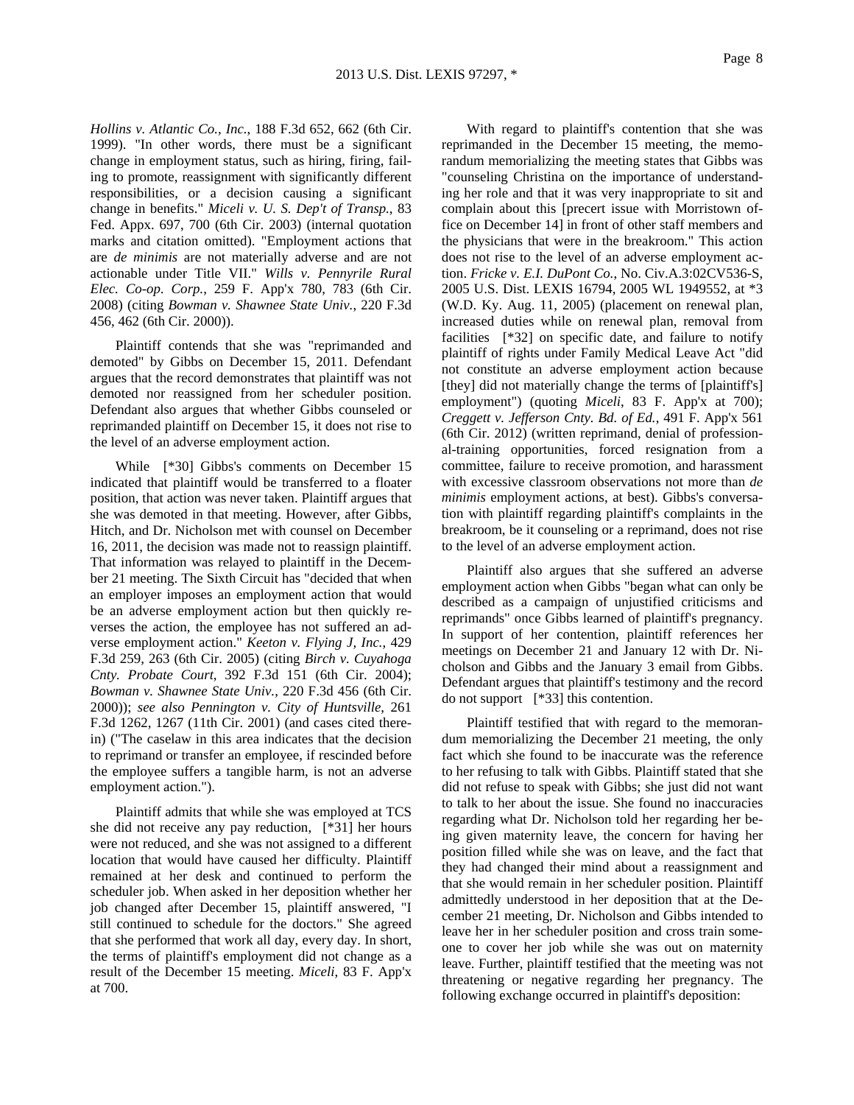*Hollins v. Atlantic Co., Inc.*, 188 F.3d 652, 662 (6th Cir. 1999). "In other words, there must be a significant change in employment status, such as hiring, firing, failing to promote, reassignment with significantly different responsibilities, or a decision causing a significant change in benefits." *Miceli v. U. S. Dep't of Transp.*, 83 Fed. Appx. 697, 700 (6th Cir. 2003) (internal quotation marks and citation omitted). "Employment actions that are *de minimis* are not materially adverse and are not actionable under Title VII." *Wills v. Pennyrile Rural Elec. Co-op. Corp.*, 259 F. App'x 780, 783 (6th Cir. 2008) (citing *Bowman v. Shawnee State Univ.*, 220 F.3d 456, 462 (6th Cir. 2000)).

Plaintiff contends that she was "reprimanded and demoted" by Gibbs on December 15, 2011. Defendant argues that the record demonstrates that plaintiff was not demoted nor reassigned from her scheduler position. Defendant also argues that whether Gibbs counseled or reprimanded plaintiff on December 15, it does not rise to the level of an adverse employment action.

While [\*30] Gibbs's comments on December 15 indicated that plaintiff would be transferred to a floater position, that action was never taken. Plaintiff argues that she was demoted in that meeting. However, after Gibbs, Hitch, and Dr. Nicholson met with counsel on December 16, 2011, the decision was made not to reassign plaintiff. That information was relayed to plaintiff in the December 21 meeting. The Sixth Circuit has "decided that when an employer imposes an employment action that would be an adverse employment action but then quickly reverses the action, the employee has not suffered an adverse employment action." *Keeton v. Flying J, Inc.*, 429 F.3d 259, 263 (6th Cir. 2005) (citing *Birch v. Cuyahoga Cnty. Probate Court*, 392 F.3d 151 (6th Cir. 2004); *Bowman v. Shawnee State Univ.*, 220 F.3d 456 (6th Cir. 2000)); *see also Pennington v. City of Huntsville*, 261 F.3d 1262, 1267 (11th Cir. 2001) (and cases cited therein) ("The caselaw in this area indicates that the decision to reprimand or transfer an employee, if rescinded before the employee suffers a tangible harm, is not an adverse employment action.").

Plaintiff admits that while she was employed at TCS she did not receive any pay reduction, [\*31] her hours were not reduced, and she was not assigned to a different location that would have caused her difficulty. Plaintiff remained at her desk and continued to perform the scheduler job. When asked in her deposition whether her job changed after December 15, plaintiff answered, "I still continued to schedule for the doctors." She agreed that she performed that work all day, every day. In short, the terms of plaintiff's employment did not change as a result of the December 15 meeting. *Miceli*, 83 F. App'x at 700.

With regard to plaintiff's contention that she was reprimanded in the December 15 meeting, the memorandum memorializing the meeting states that Gibbs was "counseling Christina on the importance of understanding her role and that it was very inappropriate to sit and complain about this [precert issue with Morristown office on December 14] in front of other staff members and the physicians that were in the breakroom." This action does not rise to the level of an adverse employment action. *Fricke v. E.I. DuPont Co.*, No. Civ.A.3:02CV536-S, 2005 U.S. Dist. LEXIS 16794, 2005 WL 1949552, at \*3 (W.D. Ky. Aug. 11, 2005) (placement on renewal plan, increased duties while on renewal plan, removal from facilities [\*32] on specific date, and failure to notify plaintiff of rights under Family Medical Leave Act "did not constitute an adverse employment action because [they] did not materially change the terms of [plaintiff's] employment") (quoting *Miceli*, 83 F. App'x at 700); *Creggett v. Jefferson Cnty. Bd. of Ed.*, 491 F. App'x 561 (6th Cir. 2012) (written reprimand, denial of professional-training opportunities, forced resignation from a committee, failure to receive promotion, and harassment with excessive classroom observations not more than *de minimis* employment actions, at best). Gibbs's conversation with plaintiff regarding plaintiff's complaints in the breakroom, be it counseling or a reprimand, does not rise to the level of an adverse employment action.

Plaintiff also argues that she suffered an adverse employment action when Gibbs "began what can only be described as a campaign of unjustified criticisms and reprimands" once Gibbs learned of plaintiff's pregnancy. In support of her contention, plaintiff references her meetings on December 21 and January 12 with Dr. Nicholson and Gibbs and the January 3 email from Gibbs. Defendant argues that plaintiff's testimony and the record do not support [\*33] this contention.

Plaintiff testified that with regard to the memorandum memorializing the December 21 meeting, the only fact which she found to be inaccurate was the reference to her refusing to talk with Gibbs. Plaintiff stated that she did not refuse to speak with Gibbs; she just did not want to talk to her about the issue. She found no inaccuracies regarding what Dr. Nicholson told her regarding her being given maternity leave, the concern for having her position filled while she was on leave, and the fact that they had changed their mind about a reassignment and that she would remain in her scheduler position. Plaintiff admittedly understood in her deposition that at the December 21 meeting, Dr. Nicholson and Gibbs intended to leave her in her scheduler position and cross train someone to cover her job while she was out on maternity leave. Further, plaintiff testified that the meeting was not threatening or negative regarding her pregnancy. The following exchange occurred in plaintiff's deposition: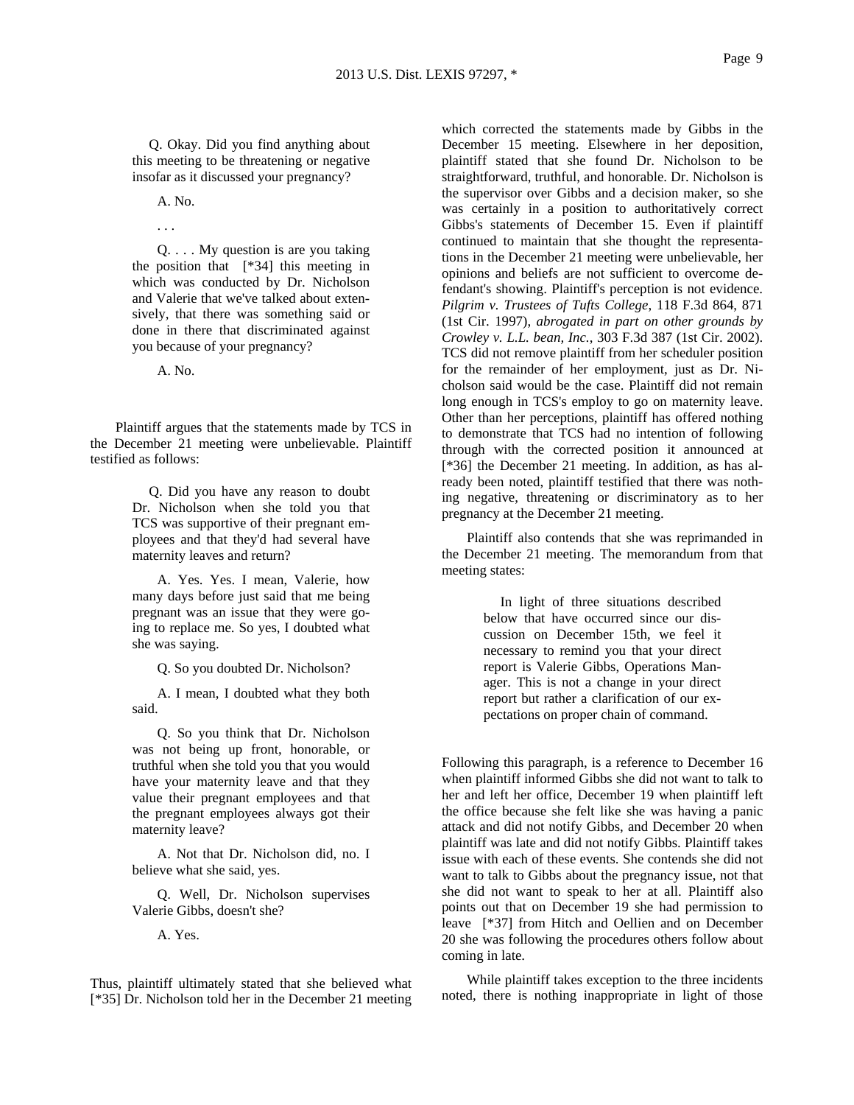Q. Okay. Did you find anything about this meeting to be threatening or negative insofar as it discussed your pregnancy?

> A. No. . . .

Q. . . . My question is are you taking the position that [\*34] this meeting in which was conducted by Dr. Nicholson and Valerie that we've talked about extensively, that there was something said or done in there that discriminated against you because of your pregnancy?

A. No.

Plaintiff argues that the statements made by TCS in the December 21 meeting were unbelievable. Plaintiff testified as follows:

> Q. Did you have any reason to doubt Dr. Nicholson when she told you that TCS was supportive of their pregnant employees and that they'd had several have maternity leaves and return?

> A. Yes. Yes. I mean, Valerie, how many days before just said that me being pregnant was an issue that they were going to replace me. So yes, I doubted what she was saying.

> > Q. So you doubted Dr. Nicholson?

A. I mean, I doubted what they both said.

Q. So you think that Dr. Nicholson was not being up front, honorable, or truthful when she told you that you would have your maternity leave and that they value their pregnant employees and that the pregnant employees always got their maternity leave?

A. Not that Dr. Nicholson did, no. I believe what she said, yes.

Q. Well, Dr. Nicholson supervises Valerie Gibbs, doesn't she?

A. Yes.

Thus, plaintiff ultimately stated that she believed what [\*35] Dr. Nicholson told her in the December 21 meeting

which corrected the statements made by Gibbs in the December 15 meeting. Elsewhere in her deposition, plaintiff stated that she found Dr. Nicholson to be straightforward, truthful, and honorable. Dr. Nicholson is the supervisor over Gibbs and a decision maker, so she was certainly in a position to authoritatively correct Gibbs's statements of December 15. Even if plaintiff continued to maintain that she thought the representations in the December 21 meeting were unbelievable, her opinions and beliefs are not sufficient to overcome defendant's showing. Plaintiff's perception is not evidence. *Pilgrim v. Trustees of Tufts College*, 118 F.3d 864, 871 (1st Cir. 1997), *abrogated in part on other grounds by Crowley v. L.L. bean, Inc.*, 303 F.3d 387 (1st Cir. 2002). TCS did not remove plaintiff from her scheduler position for the remainder of her employment, just as Dr. Nicholson said would be the case. Plaintiff did not remain long enough in TCS's employ to go on maternity leave. Other than her perceptions, plaintiff has offered nothing to demonstrate that TCS had no intention of following through with the corrected position it announced at [\*36] the December 21 meeting. In addition, as has already been noted, plaintiff testified that there was nothing negative, threatening or discriminatory as to her pregnancy at the December 21 meeting.

Plaintiff also contends that she was reprimanded in the December 21 meeting. The memorandum from that meeting states:

> In light of three situations described below that have occurred since our discussion on December 15th, we feel it necessary to remind you that your direct report is Valerie Gibbs, Operations Manager. This is not a change in your direct report but rather a clarification of our expectations on proper chain of command.

Following this paragraph, is a reference to December 16 when plaintiff informed Gibbs she did not want to talk to her and left her office, December 19 when plaintiff left the office because she felt like she was having a panic attack and did not notify Gibbs, and December 20 when plaintiff was late and did not notify Gibbs. Plaintiff takes issue with each of these events. She contends she did not want to talk to Gibbs about the pregnancy issue, not that she did not want to speak to her at all. Plaintiff also points out that on December 19 she had permission to leave [\*37] from Hitch and Oellien and on December 20 she was following the procedures others follow about coming in late.

While plaintiff takes exception to the three incidents noted, there is nothing inappropriate in light of those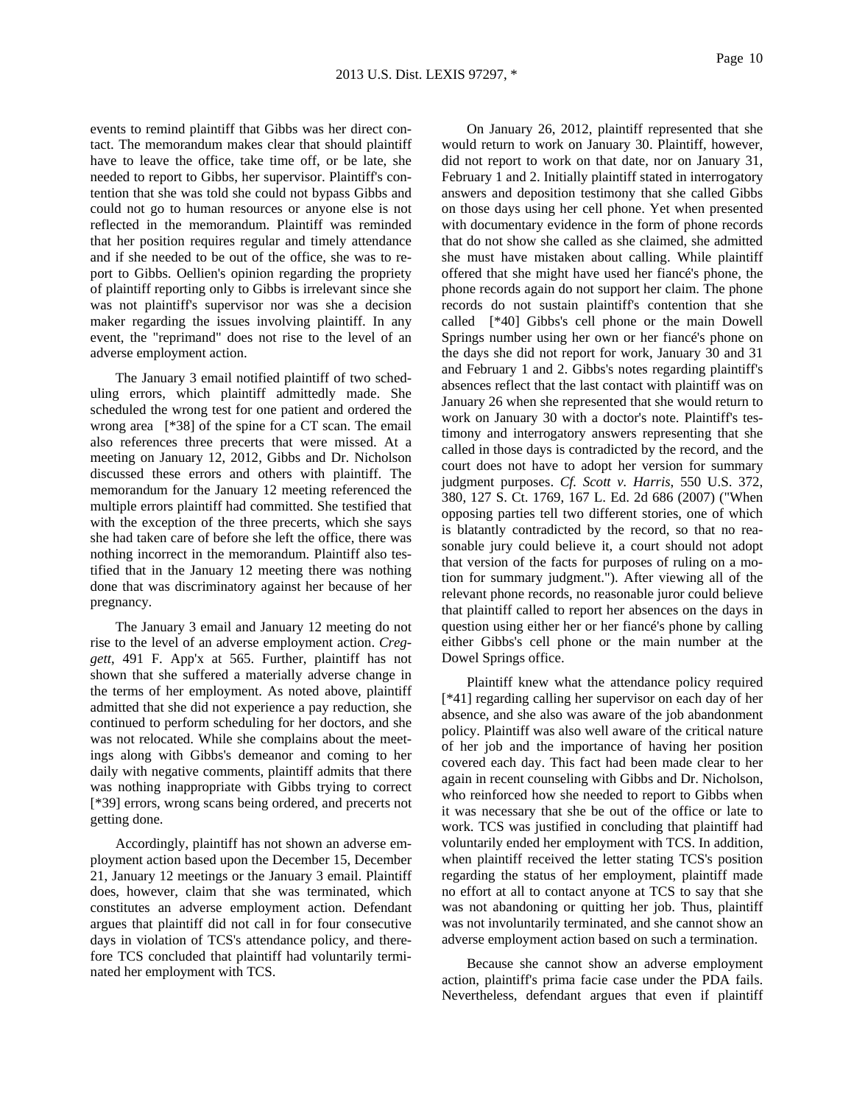events to remind plaintiff that Gibbs was her direct contact. The memorandum makes clear that should plaintiff have to leave the office, take time off, or be late, she needed to report to Gibbs, her supervisor. Plaintiff's contention that she was told she could not bypass Gibbs and could not go to human resources or anyone else is not reflected in the memorandum. Plaintiff was reminded that her position requires regular and timely attendance and if she needed to be out of the office, she was to report to Gibbs. Oellien's opinion regarding the propriety of plaintiff reporting only to Gibbs is irrelevant since she was not plaintiff's supervisor nor was she a decision maker regarding the issues involving plaintiff. In any event, the "reprimand" does not rise to the level of an adverse employment action.

The January 3 email notified plaintiff of two scheduling errors, which plaintiff admittedly made. She scheduled the wrong test for one patient and ordered the wrong area [\*38] of the spine for a CT scan. The email also references three precerts that were missed. At a meeting on January 12, 2012, Gibbs and Dr. Nicholson discussed these errors and others with plaintiff. The memorandum for the January 12 meeting referenced the multiple errors plaintiff had committed. She testified that with the exception of the three precerts, which she says she had taken care of before she left the office, there was nothing incorrect in the memorandum. Plaintiff also testified that in the January 12 meeting there was nothing done that was discriminatory against her because of her pregnancy.

The January 3 email and January 12 meeting do not rise to the level of an adverse employment action. *Creggett*, 491 F. App'x at 565. Further, plaintiff has not shown that she suffered a materially adverse change in the terms of her employment. As noted above, plaintiff admitted that she did not experience a pay reduction, she continued to perform scheduling for her doctors, and she was not relocated. While she complains about the meetings along with Gibbs's demeanor and coming to her daily with negative comments, plaintiff admits that there was nothing inappropriate with Gibbs trying to correct [\*39] errors, wrong scans being ordered, and precerts not getting done.

Accordingly, plaintiff has not shown an adverse employment action based upon the December 15, December 21, January 12 meetings or the January 3 email. Plaintiff does, however, claim that she was terminated, which constitutes an adverse employment action. Defendant argues that plaintiff did not call in for four consecutive days in violation of TCS's attendance policy, and therefore TCS concluded that plaintiff had voluntarily terminated her employment with TCS.

On January 26, 2012, plaintiff represented that she would return to work on January 30. Plaintiff, however, did not report to work on that date, nor on January 31, February 1 and 2. Initially plaintiff stated in interrogatory answers and deposition testimony that she called Gibbs on those days using her cell phone. Yet when presented with documentary evidence in the form of phone records that do not show she called as she claimed, she admitted she must have mistaken about calling. While plaintiff offered that she might have used her fiancé's phone, the phone records again do not support her claim. The phone records do not sustain plaintiff's contention that she called [\*40] Gibbs's cell phone or the main Dowell Springs number using her own or her fiancé's phone on the days she did not report for work, January 30 and 31 and February 1 and 2. Gibbs's notes regarding plaintiff's absences reflect that the last contact with plaintiff was on January 26 when she represented that she would return to work on January 30 with a doctor's note. Plaintiff's testimony and interrogatory answers representing that she called in those days is contradicted by the record, and the court does not have to adopt her version for summary judgment purposes. *Cf. Scott v. Harris*, 550 U.S. 372, 380, 127 S. Ct. 1769, 167 L. Ed. 2d 686 (2007) ("When opposing parties tell two different stories, one of which is blatantly contradicted by the record, so that no reasonable jury could believe it, a court should not adopt that version of the facts for purposes of ruling on a motion for summary judgment."). After viewing all of the relevant phone records, no reasonable juror could believe that plaintiff called to report her absences on the days in question using either her or her fiancé's phone by calling either Gibbs's cell phone or the main number at the Dowel Springs office.

Plaintiff knew what the attendance policy required [\*41] regarding calling her supervisor on each day of her absence, and she also was aware of the job abandonment policy. Plaintiff was also well aware of the critical nature of her job and the importance of having her position covered each day. This fact had been made clear to her again in recent counseling with Gibbs and Dr. Nicholson, who reinforced how she needed to report to Gibbs when it was necessary that she be out of the office or late to work. TCS was justified in concluding that plaintiff had voluntarily ended her employment with TCS. In addition, when plaintiff received the letter stating TCS's position regarding the status of her employment, plaintiff made no effort at all to contact anyone at TCS to say that she was not abandoning or quitting her job. Thus, plaintiff was not involuntarily terminated, and she cannot show an adverse employment action based on such a termination.

Because she cannot show an adverse employment action, plaintiff's prima facie case under the PDA fails. Nevertheless, defendant argues that even if plaintiff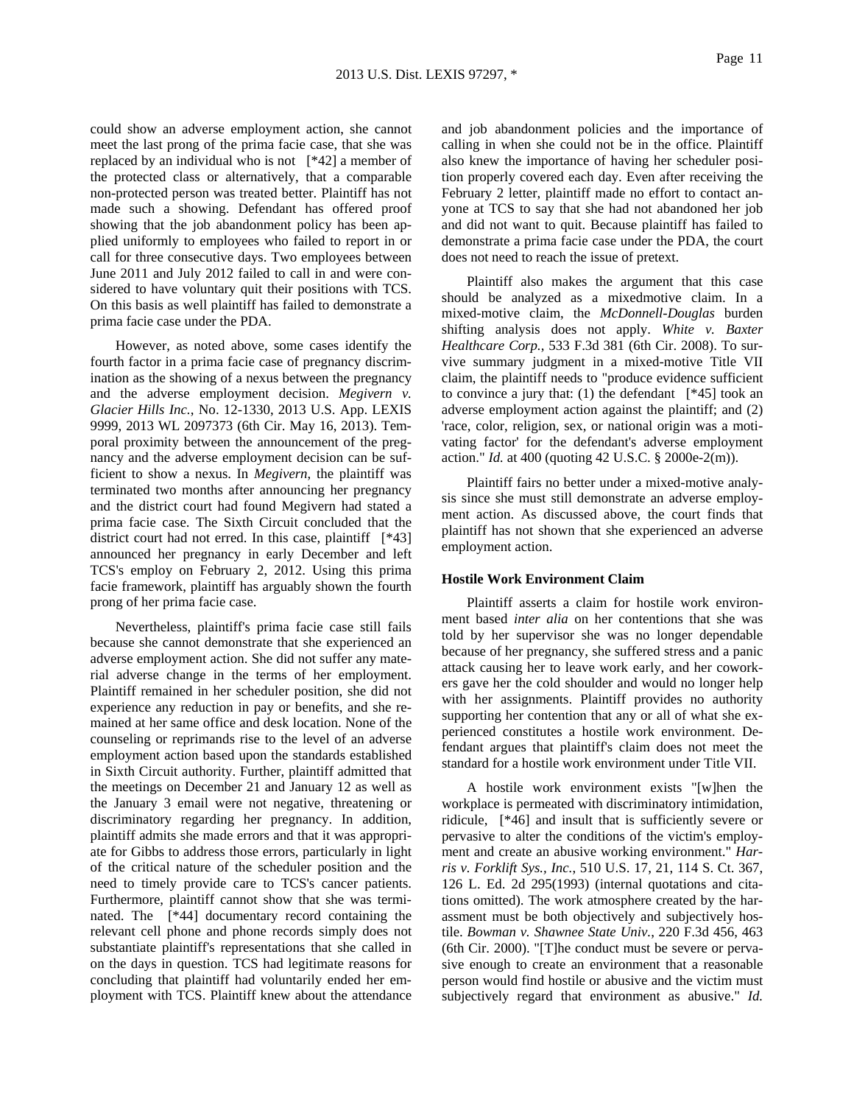could show an adverse employment action, she cannot meet the last prong of the prima facie case, that she was replaced by an individual who is not [\*42] a member of the protected class or alternatively, that a comparable non-protected person was treated better. Plaintiff has not made such a showing. Defendant has offered proof showing that the job abandonment policy has been applied uniformly to employees who failed to report in or call for three consecutive days. Two employees between June 2011 and July 2012 failed to call in and were considered to have voluntary quit their positions with TCS. On this basis as well plaintiff has failed to demonstrate a prima facie case under the PDA.

However, as noted above, some cases identify the fourth factor in a prima facie case of pregnancy discrimination as the showing of a nexus between the pregnancy and the adverse employment decision. *Megivern v. Glacier Hills Inc.*, No. 12-1330, 2013 U.S. App. LEXIS 9999, 2013 WL 2097373 (6th Cir. May 16, 2013). Temporal proximity between the announcement of the pregnancy and the adverse employment decision can be sufficient to show a nexus. In *Megivern*, the plaintiff was terminated two months after announcing her pregnancy and the district court had found Megivern had stated a prima facie case. The Sixth Circuit concluded that the district court had not erred. In this case, plaintiff [\*43] announced her pregnancy in early December and left TCS's employ on February 2, 2012. Using this prima facie framework, plaintiff has arguably shown the fourth prong of her prima facie case.

Nevertheless, plaintiff's prima facie case still fails because she cannot demonstrate that she experienced an adverse employment action. She did not suffer any material adverse change in the terms of her employment. Plaintiff remained in her scheduler position, she did not experience any reduction in pay or benefits, and she remained at her same office and desk location. None of the counseling or reprimands rise to the level of an adverse employment action based upon the standards established in Sixth Circuit authority. Further, plaintiff admitted that the meetings on December 21 and January 12 as well as the January 3 email were not negative, threatening or discriminatory regarding her pregnancy. In addition, plaintiff admits she made errors and that it was appropriate for Gibbs to address those errors, particularly in light of the critical nature of the scheduler position and the need to timely provide care to TCS's cancer patients. Furthermore, plaintiff cannot show that she was terminated. The [\*44] documentary record containing the relevant cell phone and phone records simply does not substantiate plaintiff's representations that she called in on the days in question. TCS had legitimate reasons for concluding that plaintiff had voluntarily ended her employment with TCS. Plaintiff knew about the attendance and job abandonment policies and the importance of calling in when she could not be in the office. Plaintiff also knew the importance of having her scheduler position properly covered each day. Even after receiving the February 2 letter, plaintiff made no effort to contact anyone at TCS to say that she had not abandoned her job and did not want to quit. Because plaintiff has failed to demonstrate a prima facie case under the PDA, the court does not need to reach the issue of pretext.

Plaintiff also makes the argument that this case should be analyzed as a mixedmotive claim. In a mixed-motive claim, the *McDonnell-Douglas* burden shifting analysis does not apply. *White v. Baxter Healthcare Corp.*, 533 F.3d 381 (6th Cir. 2008). To survive summary judgment in a mixed-motive Title VII claim, the plaintiff needs to "produce evidence sufficient to convince a jury that: (1) the defendant  $[*45]$  took an adverse employment action against the plaintiff; and (2) 'race, color, religion, sex, or national origin was a motivating factor' for the defendant's adverse employment action." *Id.* at 400 (quoting 42 U.S.C. § 2000e-2(m)).

Plaintiff fairs no better under a mixed-motive analysis since she must still demonstrate an adverse employment action. As discussed above, the court finds that plaintiff has not shown that she experienced an adverse employment action.

### **Hostile Work Environment Claim**

Plaintiff asserts a claim for hostile work environment based *inter alia* on her contentions that she was told by her supervisor she was no longer dependable because of her pregnancy, she suffered stress and a panic attack causing her to leave work early, and her coworkers gave her the cold shoulder and would no longer help with her assignments. Plaintiff provides no authority supporting her contention that any or all of what she experienced constitutes a hostile work environment. Defendant argues that plaintiff's claim does not meet the standard for a hostile work environment under Title VII.

A hostile work environment exists "[w]hen the workplace is permeated with discriminatory intimidation, ridicule, [\*46] and insult that is sufficiently severe or pervasive to alter the conditions of the victim's employment and create an abusive working environment." *Harris v. Forklift Sys., Inc.*, 510 U.S. 17, 21, 114 S. Ct. 367, 126 L. Ed. 2d 295(1993) (internal quotations and citations omitted). The work atmosphere created by the harassment must be both objectively and subjectively hostile. *Bowman v. Shawnee State Univ.*, 220 F.3d 456, 463 (6th Cir. 2000). "[T]he conduct must be severe or pervasive enough to create an environment that a reasonable person would find hostile or abusive and the victim must subjectively regard that environment as abusive." *Id.*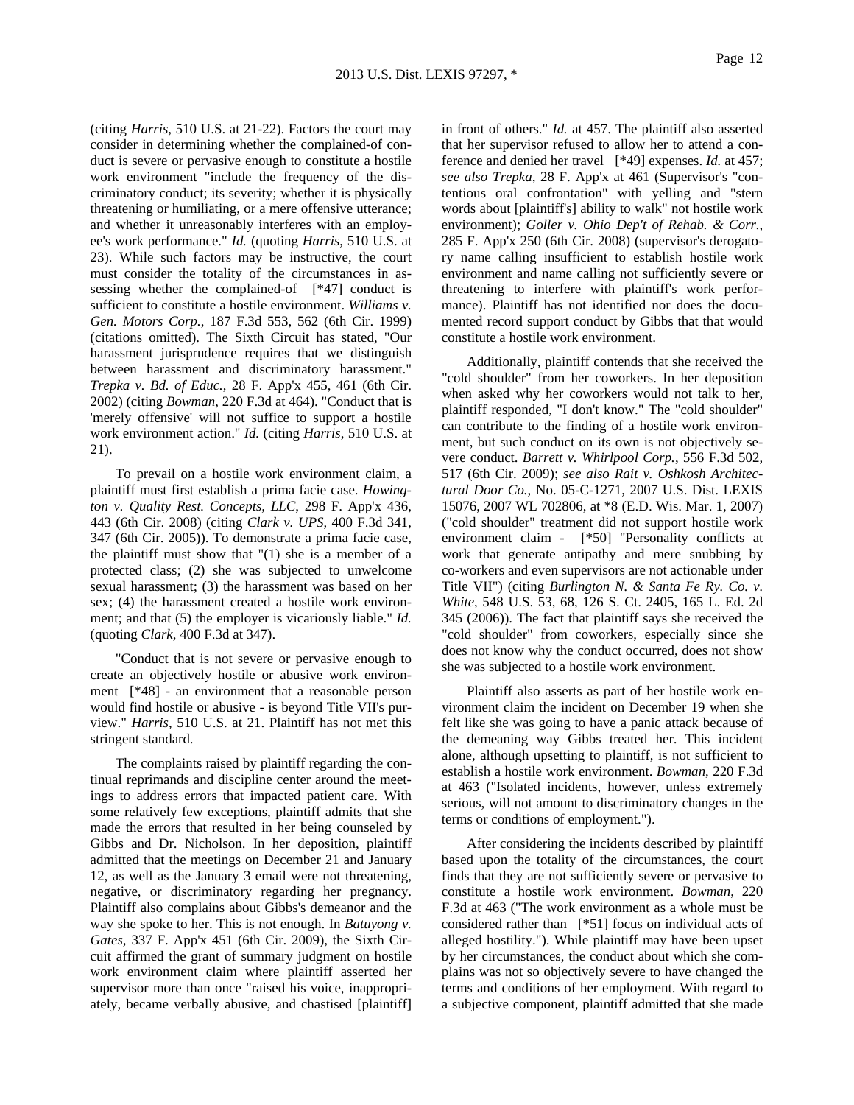(citing *Harris*, 510 U.S. at 21-22). Factors the court may consider in determining whether the complained-of conduct is severe or pervasive enough to constitute a hostile work environment "include the frequency of the discriminatory conduct; its severity; whether it is physically threatening or humiliating, or a mere offensive utterance; and whether it unreasonably interferes with an employee's work performance." *Id.* (quoting *Harris*, 510 U.S. at 23). While such factors may be instructive, the court must consider the totality of the circumstances in assessing whether the complained-of [\*47] conduct is sufficient to constitute a hostile environment. *Williams v. Gen. Motors Corp.*, 187 F.3d 553, 562 (6th Cir. 1999) (citations omitted). The Sixth Circuit has stated, "Our harassment jurisprudence requires that we distinguish between harassment and discriminatory harassment." *Trepka v. Bd. of Educ.*, 28 F. App'x 455, 461 (6th Cir. 2002) (citing *Bowman*, 220 F.3d at 464). "Conduct that is 'merely offensive' will not suffice to support a hostile work environment action." *Id.* (citing *Harris*, 510 U.S. at 21).

To prevail on a hostile work environment claim, a plaintiff must first establish a prima facie case. *Howington v. Quality Rest. Concepts, LLC*, 298 F. App'x 436, 443 (6th Cir. 2008) (citing *Clark v. UPS*, 400 F.3d 341, 347 (6th Cir. 2005)). To demonstrate a prima facie case, the plaintiff must show that "(1) she is a member of a protected class; (2) she was subjected to unwelcome sexual harassment; (3) the harassment was based on her sex; (4) the harassment created a hostile work environment; and that (5) the employer is vicariously liable." *Id.* (quoting *Clark*, 400 F.3d at 347).

"Conduct that is not severe or pervasive enough to create an objectively hostile or abusive work environment [\*48] - an environment that a reasonable person would find hostile or abusive - is beyond Title VII's purview." *Harris*, 510 U.S. at 21. Plaintiff has not met this stringent standard.

The complaints raised by plaintiff regarding the continual reprimands and discipline center around the meetings to address errors that impacted patient care. With some relatively few exceptions, plaintiff admits that she made the errors that resulted in her being counseled by Gibbs and Dr. Nicholson. In her deposition, plaintiff admitted that the meetings on December 21 and January 12, as well as the January 3 email were not threatening, negative, or discriminatory regarding her pregnancy. Plaintiff also complains about Gibbs's demeanor and the way she spoke to her. This is not enough. In *Batuyong v. Gates*, 337 F. App'x 451 (6th Cir. 2009), the Sixth Circuit affirmed the grant of summary judgment on hostile work environment claim where plaintiff asserted her supervisor more than once "raised his voice, inappropriately, became verbally abusive, and chastised [plaintiff] in front of others." *Id.* at 457. The plaintiff also asserted that her supervisor refused to allow her to attend a conference and denied her travel [\*49] expenses. *Id.* at 457; *see also Trepka*, 28 F. App'x at 461 (Supervisor's "contentious oral confrontation" with yelling and "stern words about [plaintiff's] ability to walk" not hostile work environment); *Goller v. Ohio Dep't of Rehab. & Corr.*, 285 F. App'x 250 (6th Cir. 2008) (supervisor's derogatory name calling insufficient to establish hostile work environment and name calling not sufficiently severe or threatening to interfere with plaintiff's work performance). Plaintiff has not identified nor does the documented record support conduct by Gibbs that that would constitute a hostile work environment.

Additionally, plaintiff contends that she received the "cold shoulder" from her coworkers. In her deposition when asked why her coworkers would not talk to her, plaintiff responded, "I don't know." The "cold shoulder" can contribute to the finding of a hostile work environment, but such conduct on its own is not objectively severe conduct. *Barrett v. Whirlpool Corp.*, 556 F.3d 502, 517 (6th Cir. 2009); *see also Rait v. Oshkosh Architectural Door Co.*, No. 05-C-1271, 2007 U.S. Dist. LEXIS 15076, 2007 WL 702806, at \*8 (E.D. Wis. Mar. 1, 2007) ("cold shoulder" treatment did not support hostile work environment claim - [\*50] "Personality conflicts at work that generate antipathy and mere snubbing by co-workers and even supervisors are not actionable under Title VII") (citing *Burlington N. & Santa Fe Ry. Co. v. White*, 548 U.S. 53, 68, 126 S. Ct. 2405, 165 L. Ed. 2d 345 (2006)). The fact that plaintiff says she received the "cold shoulder" from coworkers, especially since she does not know why the conduct occurred, does not show she was subjected to a hostile work environment.

Plaintiff also asserts as part of her hostile work environment claim the incident on December 19 when she felt like she was going to have a panic attack because of the demeaning way Gibbs treated her. This incident alone, although upsetting to plaintiff, is not sufficient to establish a hostile work environment. *Bowman*, 220 F.3d at 463 ("Isolated incidents, however, unless extremely serious, will not amount to discriminatory changes in the terms or conditions of employment.").

After considering the incidents described by plaintiff based upon the totality of the circumstances, the court finds that they are not sufficiently severe or pervasive to constitute a hostile work environment. *Bowman*, 220 F.3d at 463 ("The work environment as a whole must be considered rather than [\*51] focus on individual acts of alleged hostility."). While plaintiff may have been upset by her circumstances, the conduct about which she complains was not so objectively severe to have changed the terms and conditions of her employment. With regard to a subjective component, plaintiff admitted that she made